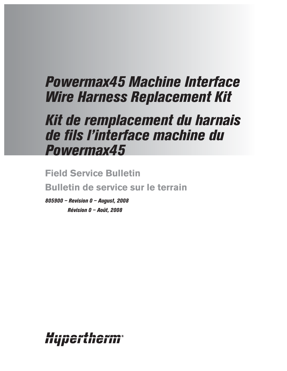# *Powermax45 Machine Interface Wire Harness Replacement Kit*

## *Kit de remplacement du harnais de fils l'interface machine du Powermax45*

**Field Service Bulletin Bulletin de service sur le terrain**

*805900 – Revision 0 – August, 2008 Révision 0 – Août, 2008*

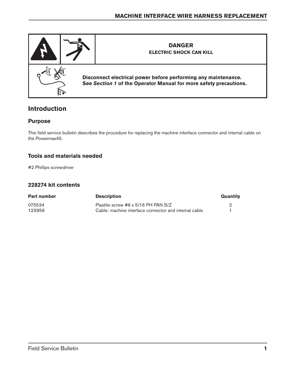

## **Introduction**

### **Purpose**

This field service bulletin describes the procedure for replacing the machine interface connector and internal cable on the Powermax45.

## **Tools and materials needed**

#2 Phillips screwdriver

### **228274 kit contents**

| <b>Part number</b> | <b>Description</b>                                    | Quantity |
|--------------------|-------------------------------------------------------|----------|
| 075534             | Plastite screw #6 x 5/16 PH PAN S/Z                   |          |
| 123956             | Cable: machine interface connector and internal cable |          |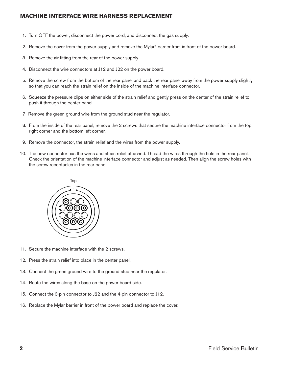- 1. Turn OFF the power, disconnect the power cord, and disconnect the gas supply.
- 2. Remove the cover from the power supply and remove the Mylar® barrier from in front of the power board.
- 3. Remove the air fitting from the rear of the power supply.
- 4. Disconnect the wire connectors at J12 and J22 on the power board.
- 5. Remove the screw from the bottom of the rear panel and back the rear panel away from the power supply slightly so that you can reach the strain relief on the inside of the machine interface connector.
- 6. Squeeze the pressure clips on either side of the strain relief and gently press on the center of the strain relief to push it through the center panel.
- 7. Remove the green ground wire from the ground stud near the regulator.
- 8. From the inside of the rear panel, remove the 2 screws that secure the machine interface connector from the top right corner and the bottom left corner.
- 9. Remove the connector, the strain relief and the wires from the power supply.
- 10. The new connector has the wires and strain relief attached. Thread the wires through the hole in the rear panel. Check the orientation of the machine interface connector and adjust as needed. Then align the screw holes with the screw receptacles in the rear panel.



- 11. Secure the machine interface with the 2 screws.
- 12. Press the strain relief into place in the center panel.
- 13. Connect the green ground wire to the ground stud near the regulator.
- 14. Route the wires along the base on the power board side.
- 15. Connect the 3-pin connector to J22 and the 4-pin connector to J12.
- 16. Replace the Mylar barrier in front of the power board and replace the cover.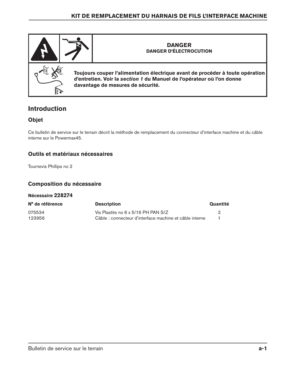

## **Introduction**

## **Objet**

Ce bulletin de service sur le terrain décrit la méthode de remplacement du connecteur d'interface machine et du câble interne sur le Powermax45.

## **Outils et matériaux nécessaires**

Tournevis Phillips no 2

### **Composition du nécessaire**

#### **Nécessaire 228274**

| N° de référence | <b>Description</b>                                      | Quantité |
|-----------------|---------------------------------------------------------|----------|
| 075534          | Vis Plastite no 6 x 5/16 PH PAN S/Z                     |          |
| 123956          | Câble : connecteur d'interface machine et câble interne |          |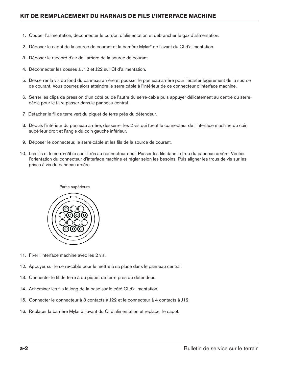- 1. Couper l'alimentation, déconnecter le cordon d'alimentation et débrancher le gaz d'alimentation.
- 2. Déposer le capot de la source de courant et la barrière Mylar® de l'avant du CI d'alimentation.
- 3. Déposer le raccord d'air de l'arrière de la source de courant.
- 4. Déconnecter les cosses à J12 et J22 sur CI d'alimentation.
- 5. Desserrer la vis du fond du panneau arrière et pousser le panneau arrière pour l'écarter légèrement de la source de courant. Vous pourrez alors atteindre le serre-câble à l'intérieur de ce connecteur d'interface machine.
- 6. Serrer les clips de pression d'un côté ou de l'autre du serre-câble puis appuyer délicatement au centre du serrecâble pour le faire passer dans le panneau central.
- 7. Détacher le fil de terre vert du piquet de terre près du détendeur.
- 8. Depuis l'intérieur du panneau arrière, desserrer les 2 vis qui fixent le connecteur de l'interface machine du coin supérieur droit et l'angle du coin gauche inférieur.
- 9. Déposer le connecteur, le serre-câble et les fils de la source de courant.
- 10. Les fils et le serre-câble sont fixés au connecteur neuf. Passer les fils dans le trou du panneau arrière. Vérifier l'orientation du connecteur d'interface machine et régler selon les besoins. Puis aligner les trous de vis sur les prises à vis du panneau arrière.



- 11. Fixer l'interface machine avec les 2 vis.
- 12. Appuyer sur le serre-câble pour le mettre à sa place dans le panneau central.
- 13. Connecter le fil de terre à du piquet de terre près du détendeur.
- 14. Acheminer les fils le long de la base sur le côté CI d'alimentation.
- 15. Connecter le connecteur à 3 contacts à J22 et le connecteur à 4 contacts à J12.
- 16. Replacer la barrière Mylar à l'avant du CI d'alimentation et replacer le capot.